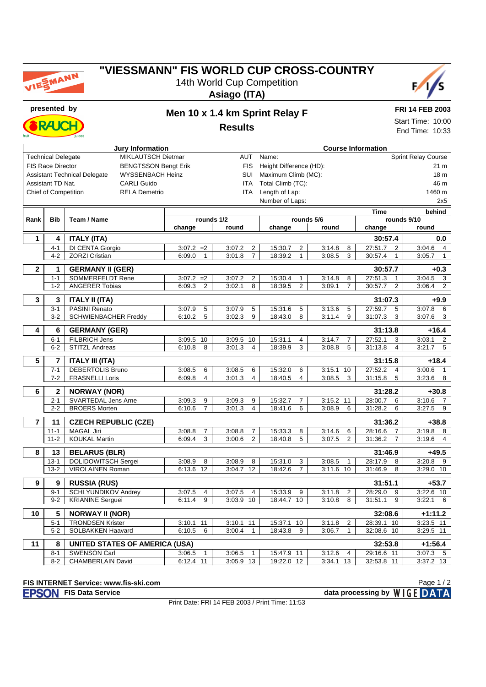

## **"VIESSMANN" FIS WORLD CUP CROSS-COUNTRY** 14th World Cup Competition

**Asiago (ITA)**



**RAJC** 

# **presented by Men 10 x 1.4 km Sprint Relay F**

**FRI 14 FEB 2003**

**Results**

Start Time: 10:00 End Time: 10:33

| <b>Jury Information</b> |                                                                       |                                           |                              |                                         |                                                      |                                        | <b>Course Information</b> |                                                    |  |  |  |  |  |
|-------------------------|-----------------------------------------------------------------------|-------------------------------------------|------------------------------|-----------------------------------------|------------------------------------------------------|----------------------------------------|---------------------------|----------------------------------------------------|--|--|--|--|--|
|                         | MIKLAUTSCH Dietmar<br>AUT<br><b>Technical Delegate</b>                |                                           |                              |                                         |                                                      | <b>Sprint Relay Course</b><br>Name:    |                           |                                                    |  |  |  |  |  |
|                         | <b>BENGTSSON Bengt Erik</b><br><b>FIS Race Director</b><br><b>FIS</b> |                                           |                              |                                         | Height Difference (HD):                              |                                        |                           |                                                    |  |  |  |  |  |
|                         | SUI<br><b>Assistant Technical Delegate</b><br><b>WYSSENBACH Heinz</b> |                                           |                              |                                         |                                                      | Maximum Climb (MC):<br>18 <sub>m</sub> |                           |                                                    |  |  |  |  |  |
|                         | Assistant TD Nat.<br><b>CARLI Guido</b><br><b>ITA</b>                 |                                           |                              |                                         |                                                      | Total Climb (TC):<br>46 m              |                           |                                                    |  |  |  |  |  |
|                         | <b>Chief of Competition</b>                                           | <b>RELA Demetrio</b>                      |                              | <b>ITA</b>                              | Length of Lap:                                       |                                        |                           | 1460 m                                             |  |  |  |  |  |
|                         |                                                                       |                                           |                              |                                         | Number of Laps:                                      |                                        |                           | 2x5                                                |  |  |  |  |  |
|                         |                                                                       |                                           |                              |                                         |                                                      |                                        | <b>Time</b>               | behind                                             |  |  |  |  |  |
| Rank                    | <b>Bib</b>                                                            | Team / Name                               | rounds 1/2                   |                                         |                                                      | rounds 5/6                             |                           | rounds 9/10                                        |  |  |  |  |  |
|                         |                                                                       |                                           | change                       | round                                   | change                                               | round                                  | change                    | round                                              |  |  |  |  |  |
|                         |                                                                       |                                           |                              |                                         |                                                      |                                        |                           |                                                    |  |  |  |  |  |
| $\mathbf{1}$            | 4                                                                     | <b>ITALY (ITA)</b>                        |                              |                                         |                                                      |                                        | 30:57.4                   | 0.0                                                |  |  |  |  |  |
|                         | $4 - 1$<br>$4 - 2$                                                    | DI CENTA Giorgio<br><b>ZORZI Cristian</b> | $3:07.2 = 2$<br>$\mathbf{1}$ | 3:07.2<br>2<br>3:01.8<br>$\overline{7}$ | $\overline{2}$<br>15:30.7<br>18:39.2<br>$\mathbf{1}$ | 3:14.8<br>8<br>3:08.5<br>3             | 27:51.7<br>$\overline{2}$ | 3:04.6<br>$\overline{4}$<br>3:05.7<br>$\mathbf{1}$ |  |  |  |  |  |
|                         |                                                                       |                                           | 6:09.0                       |                                         |                                                      |                                        | 30:57.4<br>$\mathbf{1}$   |                                                    |  |  |  |  |  |
| $\mathbf{2}$            | 1                                                                     | <b>GERMANY II (GER)</b>                   |                              |                                         |                                                      |                                        | 30:57.7                   | $+0.3$                                             |  |  |  |  |  |
|                         | $1 - 1$                                                               | <b>SOMMERFELDT Rene</b>                   | $3:07.2 = 2$                 | 3:07.2<br>$\overline{2}$                | 15:30.4<br>$\mathbf{1}$                              | 3:14.8<br>8                            | 27:51.3<br>$\mathbf{1}$   | 3:04.5<br>3                                        |  |  |  |  |  |
|                         | $1 - 2$                                                               | <b>ANGERER Tobias</b>                     | 2<br>6:09.3                  | 8<br>3:02.1                             | $\overline{2}$<br>18:39.5                            | $\overline{7}$<br>3:09.1               | 30:57.7<br>$\overline{2}$ | 2<br>3:06.4                                        |  |  |  |  |  |
|                         |                                                                       |                                           |                              |                                         |                                                      |                                        |                           |                                                    |  |  |  |  |  |
| 3                       | 3                                                                     | <b>ITALY II (ITA)</b>                     |                              |                                         |                                                      |                                        | 31:07.3                   | $+9.9$                                             |  |  |  |  |  |
|                         | $3 - 1$                                                               | <b>PASINI Renato</b>                      | 5<br>3:07.9                  | 3:07.9<br>5                             | 15:31.6<br>5                                         | 3:13.6<br>5                            | 27:59.7<br>5              | 3:07.8<br>6                                        |  |  |  |  |  |
|                         | $3 - 2$                                                               | <b>SCHWIENBACHER Freddy</b>               | 6:10.2<br>5                  | 3:02.3<br>9                             | 18:43.0<br>8                                         | 9<br>3:11.4                            | 31:07.3<br>3              | 3:07.6<br>3                                        |  |  |  |  |  |
| $\overline{\mathbf{4}}$ | 6                                                                     | <b>GERMANY (GER)</b>                      |                              |                                         |                                                      |                                        | 31:13.8                   | $+16.4$                                            |  |  |  |  |  |
|                         | $6 - 1$                                                               | <b>FILBRICH Jens</b>                      | 3:09.5 10                    | 3:09.5<br>10                            | 15:31.1<br>$\overline{4}$                            | 3:14.7<br>7                            | 27:52.1<br>3              | 3:03.1<br>$\overline{2}$                           |  |  |  |  |  |
|                         | $6 - 2$                                                               | STITZL Andreas                            | 6:10.8<br>8                  | 3:01.3<br>4                             | 18:39.9<br>3                                         | 3:08.8<br>5                            | 31:13.8<br>$\overline{4}$ | 3:21.7<br>5                                        |  |  |  |  |  |
|                         |                                                                       |                                           |                              |                                         |                                                      |                                        |                           |                                                    |  |  |  |  |  |
| 5                       | $\overline{7}$                                                        | <b>ITALY III (ITA)</b>                    |                              |                                         |                                                      |                                        | 31:15.8                   | $+18.4$                                            |  |  |  |  |  |
|                         | $7 - 1$                                                               | <b>DEBERTOLIS Bruno</b>                   | 3:08.5<br>6                  | 3:08.5<br>6                             | 15:32.0<br>6                                         | 3:15.1<br>10                           | 27:52.2<br>4              | 3:00.6<br>$\mathbf{1}$                             |  |  |  |  |  |
|                         | $7 - 2$                                                               | <b>FRASNELLI Loris</b>                    | 4<br>6:09.8                  | 4<br>3:01.3                             | $\overline{4}$<br>18:40.5                            | 3<br>3:08.5                            | 31:15.8<br>5              | 3:23.6<br>8                                        |  |  |  |  |  |
| 6                       | $\mathbf{2}$                                                          | <b>NORWAY (NOR)</b>                       |                              |                                         |                                                      |                                        | 31:28.2                   | $+30.8$                                            |  |  |  |  |  |
|                         | $2 - 1$                                                               | <b>SVARTEDAL Jens Arne</b>                | 9<br>3:09.3                  | 9<br>3:09.3                             | 15:32.7<br>$\overline{7}$                            | 3:15.2<br>11                           | 28:00.7<br>6              | 3:10.6<br>$\overline{7}$                           |  |  |  |  |  |
|                         | $2 - 2$                                                               | <b>BROERS Morten</b>                      | $\overline{7}$<br>6:10.6     | 3:01.3<br>$\overline{4}$                | 18:41.6<br>6                                         | 3:08.9<br>6                            | 31:28.2<br>6              | 3:27.5<br>9                                        |  |  |  |  |  |
| $\overline{7}$          | 11                                                                    | <b>CZECH REPUBLIC (CZE)</b>               |                              |                                         |                                                      |                                        | 31:36.2                   | $+38.8$                                            |  |  |  |  |  |
|                         | $11 - 1$                                                              | <b>MAGAL Jiri</b>                         | 3:08.8<br>$\overline{7}$     | 3:08.8<br>$\overline{7}$                | 15:33.3<br>8                                         | 3:14.6<br>6                            | 28:16.6<br>$\overline{7}$ | 3:19.8<br>8                                        |  |  |  |  |  |
|                         | $11 - 2$                                                              | <b>KOUKAL Martin</b>                      | 3<br>6:09.4                  | 3:00.6<br>2                             | 18:40.8<br>5                                         | 3:07.5<br>$\overline{2}$               | 31:36.2<br>7              | 3:19.6<br>4                                        |  |  |  |  |  |
|                         |                                                                       |                                           |                              |                                         |                                                      |                                        |                           |                                                    |  |  |  |  |  |
| 8                       | 13                                                                    | <b>BELARUS (BLR)</b>                      |                              |                                         |                                                      |                                        | 31:46.9                   | $+49.5$                                            |  |  |  |  |  |
|                         | $13 - 1$                                                              | DOLIDOWITSCH Sergei                       | 3:08.9<br>8                  | 3:08.9<br>8                             | 15:31.0<br>3                                         | 3:08.5<br>$\mathbf{1}$                 | 28:17.9<br>8              | 3:20.8<br>9                                        |  |  |  |  |  |
|                         | $13 - 2$                                                              | VIROLAINEN Roman                          | 6:13.6 12                    | 3:04.7<br>12                            | 18:42.6<br>$\overline{7}$                            | 3:11.6 10                              | 31:46.9<br>8              | $3:29.0$ 10                                        |  |  |  |  |  |
| 9                       | 9                                                                     | <b>RUSSIA (RUS)</b>                       |                              |                                         |                                                      |                                        | 31:51.1                   | $+53.7$                                            |  |  |  |  |  |
|                         | $9 - 1$                                                               | SCHLYUNDIKOV Andrey                       | 3:07.5<br>$\overline{4}$     | 3:07.5<br>4                             | 15:33.9<br>9                                         | 3:11.8<br>$\overline{2}$               | 28:29.0<br>9              | $3:22.6$ 10                                        |  |  |  |  |  |
|                         | $9 - 2$                                                               | <b>KRIANINE Serguei</b>                   | 9<br>6:11.4                  | 3:03.9<br>10                            | 18:44.7<br>10                                        | 8<br>3:10.8                            | 31:51.1<br>9              | 3:22.1<br>6                                        |  |  |  |  |  |
|                         |                                                                       |                                           |                              |                                         |                                                      |                                        |                           |                                                    |  |  |  |  |  |
| 10                      | 5                                                                     | <b>NORWAY II (NOR)</b>                    |                              |                                         |                                                      |                                        | 32:08.6                   | $+1:11.2$                                          |  |  |  |  |  |
|                         | $5 - 1$                                                               | <b>TRONDSEN Krister</b>                   | 3:10.1<br>11                 | 3:10.1<br>11                            | 15:37.1<br>10                                        | 3:11.8<br>$\overline{2}$               | 28:39.1<br>10             | 3:23.5<br>11                                       |  |  |  |  |  |
|                         | $5 - 2$                                                               | SOLBAKKEN Haavard                         | 6:10.5<br>6                  | 3:00.4<br>$\mathbf{1}$                  | 18:43.8<br>9                                         | 3:06.7<br>$\mathbf{1}$                 | 32:08.6 10                | 3:29.5<br>11                                       |  |  |  |  |  |
| 11                      | 8                                                                     | <b>UNITED STATES OF AMERICA (USA)</b>     |                              |                                         |                                                      |                                        | 32:53.8                   | $+1:56.4$                                          |  |  |  |  |  |
|                         | $8 - 1$                                                               | <b>SWENSON Carl</b>                       | 3:06.5<br>1                  | 3:06.5<br>$\mathbf{1}$                  | 15:47.9<br>11                                        | 3:12.6<br>4                            | 29:16.6<br>11             | 3:07.3<br>5                                        |  |  |  |  |  |
|                         | $8 - 2$                                                               | <b>CHAMBERLAIN David</b>                  | 6:12.4 11                    | 3:05.9 13                               | 19:22.0<br>12                                        | 3:34.1<br>13                           | 32:53.8 11                | $3:37.2$ 13                                        |  |  |  |  |  |
|                         |                                                                       |                                           |                              |                                         |                                                      |                                        |                           |                                                    |  |  |  |  |  |

#### **FIS INTERNET Service: www.fis-ski.com**

**FISON** FIS Data Service **data processing by** WIGE DATA

Page 1 / 2

Print Date: FRI 14 FEB 2003 / Print Time: 11:53